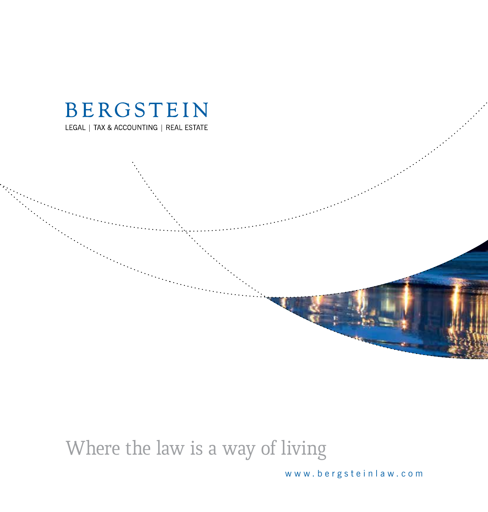

Where the law is a way of living

www.bergsteinlaw.com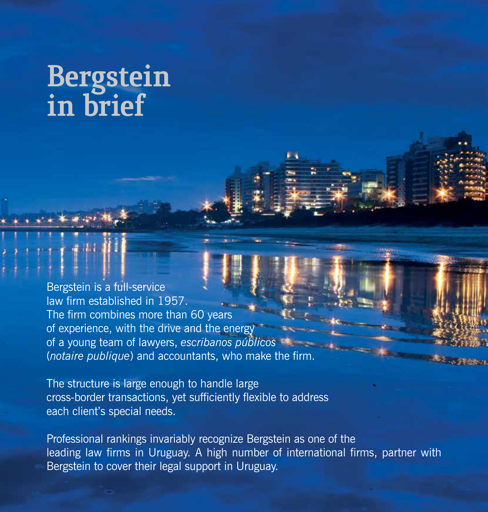# Bergstein<br>in brief

Bergstein is a full-service law firm established in 1957. The firm combines more than 60 years of experience, with the drive and the energy of a young team of lawyers, *escribanos públicos* (*notaire publique*) and accountants, who make the firm.

The structure is large enough to handle large cross-border transactions, yet sufficiently flexible to address each client's special needs.

Professional rankings invariably recognize Bergstein as one of the leading law firms in Uruguay. A high number of international firms, partner with Bergstein to cover their legal support in Uruguay.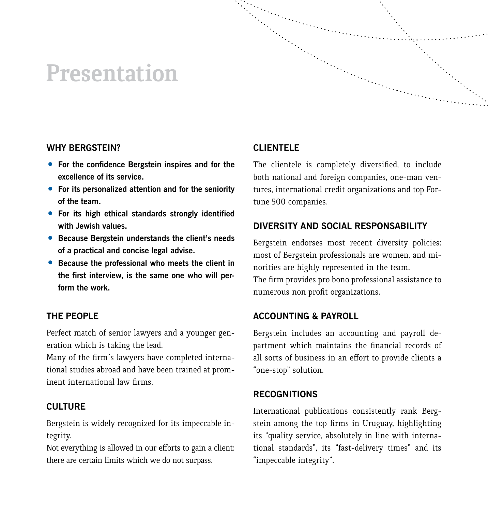#### **Presentation**



- **For the confidence Bergstein inspires and for the excellence of its service.**
- **For its personalized attention and for the seniority of the team.**
- **For its high ethical standards strongly identified with Jewish values.**
- **Because Bergstein understands the client's needs of a practical and concise legal advise.**
- **Because the professional who meets the client in the first interview, is the same one who will perform the work.**

#### **THE PEOPLE**

Perfect match of senior lawyers and a younger generation which is taking the lead.

Many of the firm´s lawyers have completed international studies abroad and have been trained at prominent international law firms.

#### **CULTURE**

Bergstein is widely recognized for its impeccable integrity.

Not everything is allowed in our efforts to gain a client: there are certain limits which we do not surpass.

#### **CLIENTELE**

The clientele is completely diversified, to include both national and foreign companies, one-man ventures, international credit organizations and top Fortune 500 companies.

#### **DIVERSITY AND SOCIAL RESPONSABILITY**

Bergstein endorses most recent diversity policies: most of Bergstein professionals are women, and minorities are highly represented in the team. The firm provides pro bono professional assistance to numerous non profit organizations.

#### **ACCOUNTING & PAYROLL**

Bergstein includes an accounting and payroll department which maintains the financial records of all sorts of business in an effort to provide clients a "one-stop" solution.

#### **RECOGNITIONS**

International publications consistently rank Bergstein among the top firms in Uruguay, highlighting its "quality service, absolutely in line with international standards", its "fast-delivery times" and its "impeccable integrity".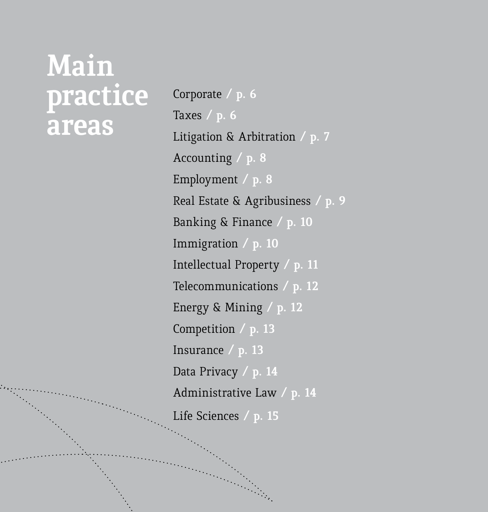# **Main practice areas**

Corporate **/ p. 6**  Taxes **/ p. 6** Litigation & Arbitration **/ p. 7** Accounting **/ p. 8** Employment **/ p. 8** Real Estate & Agribusiness **/ p. 9** Banking & Finance **/ p. 10** Immigration **/ p. 10** Intellectual Property **/ p. 11** Telecommunications **/ p. 12** Energy & Mining **/ p. 12** Competition **/ p. 13** Insurance **/ p. 13**  Data Privacy **/ p. 14** Administrative Law **/ p. 14** Life Sciences **/ p. 15**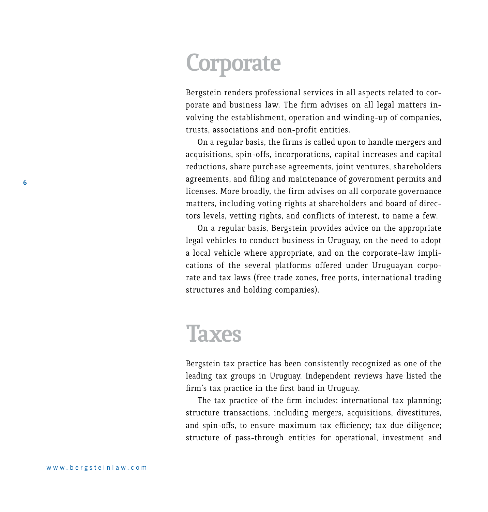#### **Corporate**

Bergstein renders professional services in all aspects related to corporate and business law. The firm advises on all legal matters involving the establishment, operation and winding-up of companies, trusts, associations and non-profit entities.

On a regular basis, the firms is called upon to handle mergers and acquisitions, spin-offs, incorporations, capital increases and capital reductions, share purchase agreements, joint ventures, shareholders agreements, and filing and maintenance of government permits and licenses. More broadly, the firm advises on all corporate governance matters, including voting rights at shareholders and board of directors levels, vetting rights, and conflicts of interest, to name a few.

On a regular basis, Bergstein provides advice on the appropriate legal vehicles to conduct business in Uruguay, on the need to adopt a local vehicle where appropriate, and on the corporate-law implications of the several platforms offered under Uruguayan corporate and tax laws (free trade zones, free ports, international trading structures and holding companies).

#### **Taxes**

Bergstein tax practice has been consistently recognized as one of the leading tax groups in Uruguay. Independent reviews have listed the firm's tax practice in the first band in Uruguay.

The tax practice of the firm includes: international tax planning; structure transactions, including mergers, acquisitions, divestitures, and spin-offs, to ensure maximum tax efficiency; tax due diligence; structure of pass-through entities for operational, investment and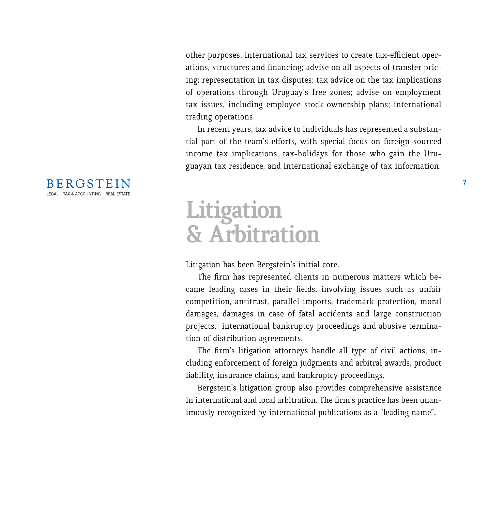other purposes; international tax services to create tax-efficient operations, structures and financing; advise on all aspects of transfer pricing; representation in tax disputes; tax advice on the tax implications of operations through Uruguay's free zones; advise on employment tax issues, including employee stock ownership plans; international trading operations.

In recent years, tax advice to individuals has represented a substantial part of the team's efforts, with special focus on foreign-sourced income tax implications, tax-holidays for those who gain the Uruguayan tax residence, and international exchange of tax information.

#### **Litigation & Arbitration**

Litigation has been Bergstein's initial core.

The firm has represented clients in numerous matters which became leading cases in their fields, involving issues such as unfair competition, antitrust, parallel imports, trademark protection, moral damages, damages in case of fatal accidents and large construction projects, international bankruptcy proceedings and abusive termination of distribution agreements.

The firm's litigation attorneys handle all type of civil actions, including enforcement of foreign judgments and arbitral awards, product liability, insurance claims, and bankruptcy proceedings.

Bergstein's litigation group also provides comprehensive assistance in international and local arbitration. The firm's practice has been unanimously recognized by international publications as a "leading name".

#### **BERGSTEIN** LEGAL | TAX & ACCOUNTING | REAL ESTATE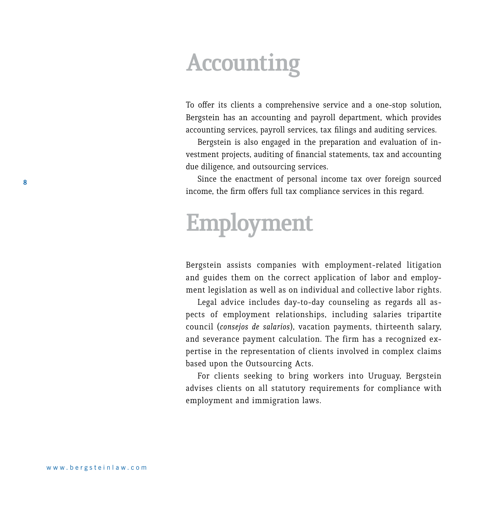#### **Accounting**

To offer its clients a comprehensive service and a one-stop solution, Bergstein has an accounting and payroll department, which provides accounting services, payroll services, tax filings and auditing services.

Bergstein is also engaged in the preparation and evaluation of investment projects, auditing of financial statements, tax and accounting due diligence, and outsourcing services.

Since the enactment of personal income tax over foreign sourced income, the firm offers full tax compliance services in this regard.

### **Employment**

Bergstein assists companies with employment-related litigation and guides them on the correct application of labor and employment legislation as well as on individual and collective labor rights.

Legal advice includes day-to-day counseling as regards all aspects of employment relationships, including salaries tripartite council (*consejos de salarios*), vacation payments, thirteenth salary, and severance payment calculation. The firm has a recognized expertise in the representation of clients involved in complex claims based upon the Outsourcing Acts.

For clients seeking to bring workers into Uruguay, Bergstein advises clients on all statutory requirements for compliance with employment and immigration laws.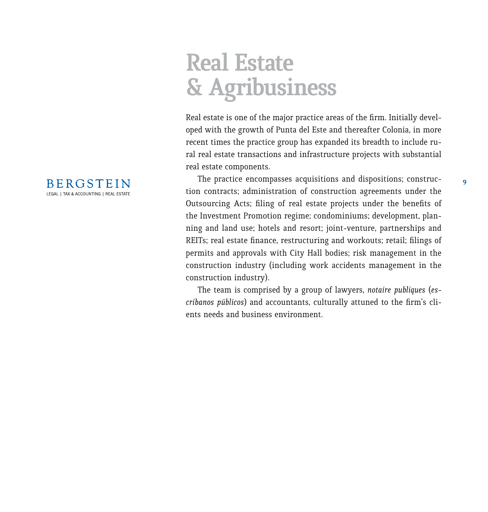### **Real Estate & Agribusiness**

Real estate is one of the major practice areas of the firm. Initially developed with the growth of Punta del Este and thereafter Colonia, in more recent times the practice group has expanded its breadth to include rural real estate transactions and infrastructure projects with substantial real estate components.

The practice encompasses acquisitions and dispositions; construction contracts; administration of construction agreements under the Outsourcing Acts; filing of real estate projects under the benefits of the Investment Promotion regime; condominiums; development, planning and land use; hotels and resort; joint-venture, partnerships and REITs; real estate finance, restructuring and workouts; retail; filings of permits and approvals with City Hall bodies; risk management in the construction industry (including work accidents management in the construction industry).

The team is comprised by a group of lawyers, *notaire publiques* (*escribanos públicos*) and accountants, culturally attuned to the firm's clients needs and business environment.

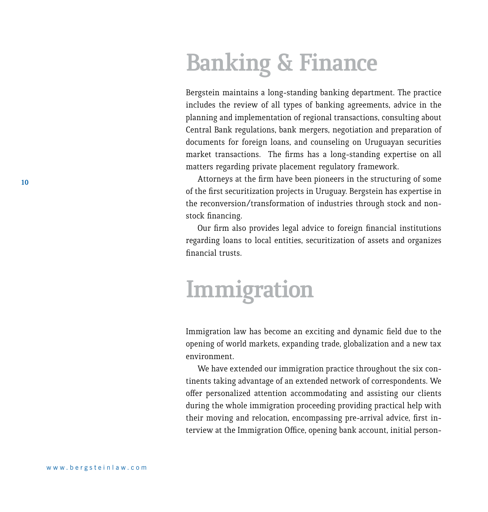### **Banking & Finance**

Bergstein maintains a long-standing banking department. The practice includes the review of all types of banking agreements, advice in the planning and implementation of regional transactions, consulting about Central Bank regulations, bank mergers, negotiation and preparation of documents for foreign loans, and counseling on Uruguayan securities market transactions. The firms has a long-standing expertise on all matters regarding private placement regulatory framework.

Attorneys at the firm have been pioneers in the structuring of some of the first securitization projects in Uruguay. Bergstein has expertise in the reconversion/transformation of industries through stock and nonstock financing.

Our firm also provides legal advice to foreign financial institutions regarding loans to local entities, securitization of assets and organizes financial trusts.

# **Immigration**

Immigration law has become an exciting and dynamic field due to the opening of world markets, expanding trade, globalization and a new tax environment.

We have extended our immigration practice throughout the six continents taking advantage of an extended network of correspondents. We offer personalized attention accommodating and assisting our clients during the whole immigration proceeding providing practical help with their moving and relocation, encompassing pre-arrival advice, first interview at the Immigration Office, opening bank account, initial person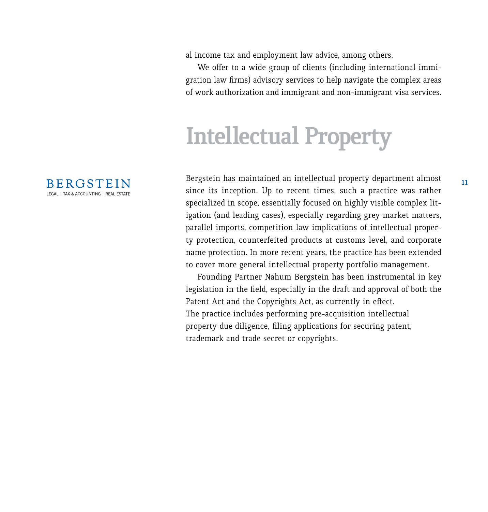al income tax and employment law advice, among others.

We offer to a wide group of clients (including international immigration law firms) advisory services to help navigate the complex areas of work authorization and immigrant and non-immigrant visa services.

# **Intellectual Property**

Bergstein has maintained an intellectual property department almost since its inception. Up to recent times, such a practice was rather specialized in scope, essentially focused on highly visible complex litigation (and leading cases), especially regarding grey market matters, parallel imports, competition law implications of intellectual property protection, counterfeited products at customs level, and corporate name protection. In more recent years, the practice has been extended to cover more general intellectual property portfolio management.

Founding Partner Nahum Bergstein has been instrumental in key legislation in the field, especially in the draft and approval of both the Patent Act and the Copyrights Act, as currently in effect. The practice includes performing pre-acquisition intellectual property due diligence, filing applications for securing patent, trademark and trade secret or copyrights.

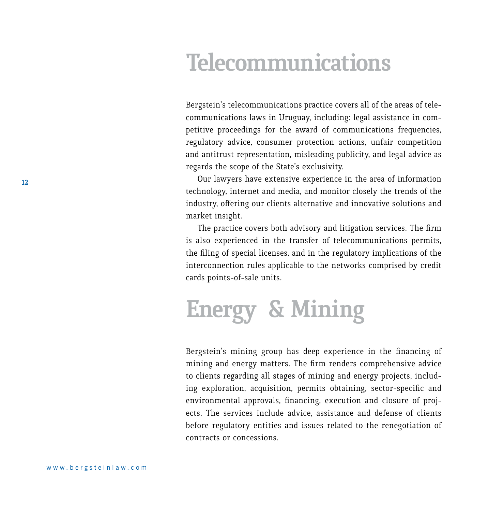#### **Telecommunications**

Bergstein's telecommunications practice covers all of the areas of telecommunications laws in Uruguay, including: legal assistance in competitive proceedings for the award of communications frequencies, regulatory advice, consumer protection actions, unfair competition and antitrust representation, misleading publicity, and legal advice as regards the scope of the State's exclusivity.

Our lawyers have extensive experience in the area of information technology, internet and media, and monitor closely the trends of the industry, offering our clients alternative and innovative solutions and market insight.

The practice covers both advisory and litigation services. The firm is also experienced in the transfer of telecommunications permits, the filing of special licenses, and in the regulatory implications of the interconnection rules applicable to the networks comprised by credit cards points-of-sale units.

# **Energy & Mining**

Bergstein's mining group has deep experience in the financing of mining and energy matters. The firm renders comprehensive advice to clients regarding all stages of mining and energy projects, including exploration, acquisition, permits obtaining, sector-specific and environmental approvals, financing, execution and closure of projects. The services include advice, assistance and defense of clients before regulatory entities and issues related to the renegotiation of contracts or concessions.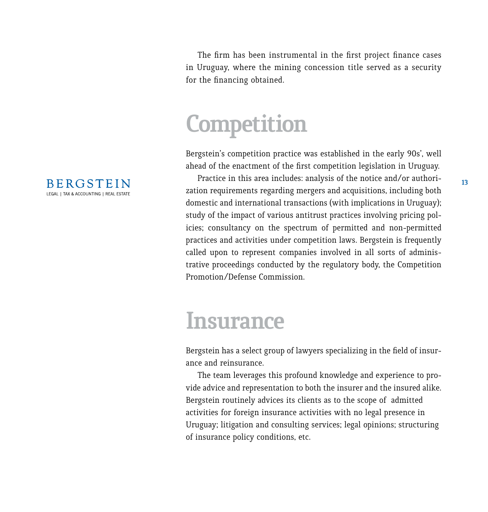The firm has been instrumental in the first project finance cases in Uruguay, where the mining concession title served as a security for the financing obtained.

# **Competition**

Bergstein's competition practice was established in the early 90s', well ahead of the enactment of the first competition legislation in Uruguay.

Practice in this area includes: analysis of the notice and/or authorization requirements regarding mergers and acquisitions, including both domestic and international transactions (with implications in Uruguay); study of the impact of various antitrust practices involving pricing policies; consultancy on the spectrum of permitted and non-permitted practices and activities under competition laws. Bergstein is frequently called upon to represent companies involved in all sorts of administrative proceedings conducted by the regulatory body, the Competition Promotion/Defense Commission.

#### **Insurance**

Bergstein has a select group of lawyers specializing in the field of insurance and reinsurance.

The team leverages this profound knowledge and experience to provide advice and representation to both the insurer and the insured alike. Bergstein routinely advices its clients as to the scope of admitted activities for foreign insurance activities with no legal presence in Uruguay; litigation and consulting services; legal opinions; structuring of insurance policy conditions, etc.

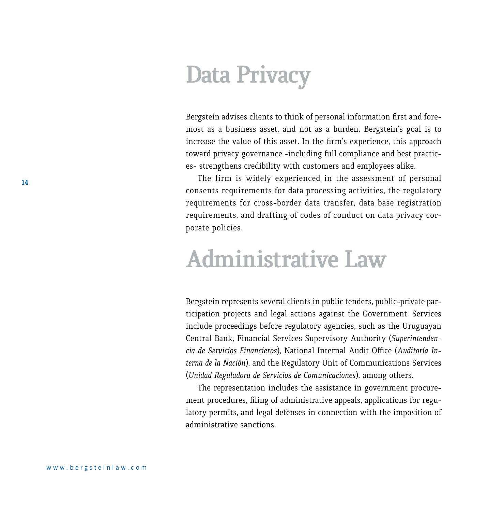### **Data Privacy**

Bergstein advises clients to think of personal information first and foremost as a business asset, and not as a burden. Bergstein's goal is to increase the value of this asset. In the firm's experience, this approach toward privacy governance -including full compliance and best practices- strengthens credibility with customers and employees alike.

The firm is widely experienced in the assessment of personal consents requirements for data processing activities, the regulatory requirements for cross-border data transfer, data base registration requirements, and drafting of codes of conduct on data privacy corporate policies.

#### **Administrative Law**

Bergstein represents several clients in public tenders, public-private participation projects and legal actions against the Government. Services include proceedings before regulatory agencies, such as the Uruguayan Central Bank, Financial Services Supervisory Authority (*Superintendencia de Servicios Financieros*), National Internal Audit Office (*Auditoría Interna de la Nación*), and the Regulatory Unit of Communications Services (*Unidad Reguladora de Servicios de Comunicaciones*), among others.

The representation includes the assistance in government procurement procedures, filing of administrative appeals, applications for regulatory permits, and legal defenses in connection with the imposition of administrative sanctions.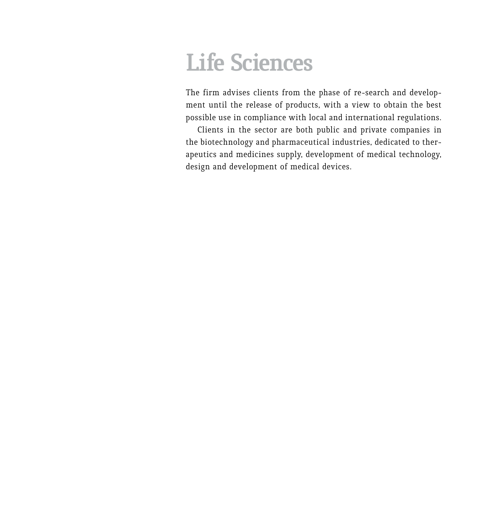### **Life Sciences**

The firm advises clients from the phase of re-search and development until the release of products, with a view to obtain the best possible use in compliance with local and international regulations.

Clients in the sector are both public and private companies in the biotechnology and pharmaceutical industries, dedicated to therapeutics and medicines supply, development of medical technology, design and development of medical devices.